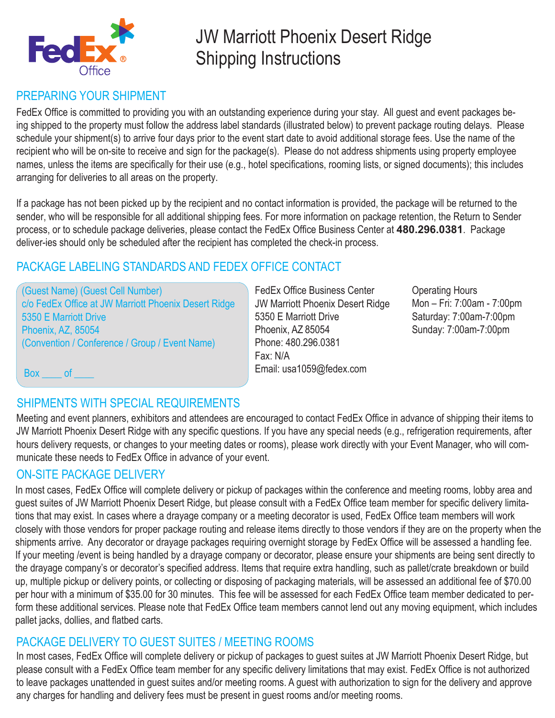

# JW Marriott Phoenix Desert Ridge Shipping Instructions

# PREPARING YOUR SHIPMENT

FedEx Office is committed to providing you with an outstanding experience during your stay. All guest and event packages being shipped to the property must follow the address label standards (illustrated below) to prevent package routing delays. Please schedule your shipment(s) to arrive four days prior to the event start date to avoid additional storage fees. Use the name of the recipient who will be on-site to receive and sign for the package(s). Please do not address shipments using property employee names, unless the items are specifically for their use (e.g., hotel specifications, rooming lists, or signed documents); this includes arranging for deliveries to all areas on the property.

If a package has not been picked up by the recipient and no contact information is provided, the package will be returned to the sender, who will be responsible for all additional shipping fees. For more information on package retention, the Return to Sender process, or to schedule package deliveries, please contact the FedEx Office Business Center at **480.296.0381**. Package deliver-ies should only be scheduled after the recipient has completed the check-in process.

## PACKAGE LABELING STANDARDS AND FEDEX OFFICE CONTACT

(Guest Name) (Guest Cell Number) c/o FedEx Office at JW Marriott Phoenix Desert Ridge 5350 E Marriott Drive Phoenix, AZ, 85054 (Convention / Conference / Group / Event Name)

FedEx Office Business Center JW Marriott Phoenix Desert Ridge 5350 E Marriott Drive Phoenix, AZ 85054 Phone: 480.296.0381 Fax: N/A Email: usa1059@fedex.com

Operating Hours Mon – Fri: 7:00am - 7:00pm Saturday: 7:00am-7:00pm Sunday: 7:00am-7:00pm

Box of

# SHIPMENTS WITH SPECIAL REQUIREMENTS

Meeting and event planners, exhibitors and attendees are encouraged to contact FedEx Office in advance of shipping their items to JW Marriott Phoenix Desert Ridge with any specific questions. If you have any special needs (e.g., refrigeration requirements, after hours delivery requests, or changes to your meeting dates or rooms), please work directly with your Event Manager, who will communicate these needs to FedEx Office in advance of your event.

## ON-SITE PACKAGE DELIVERY

In most cases, FedEx Office will complete delivery or pickup of packages within the conference and meeting rooms, lobby area and guest suites of JW Marriott Phoenix Desert Ridge, but please consult with a FedEx Office team member for specific delivery limitations that may exist. In cases where a drayage company or a meeting decorator is used, FedEx Office team members will work closely with those vendors for proper package routing and release items directly to those vendors if they are on the property when the shipments arrive. Any decorator or drayage packages requiring overnight storage by FedEx Office will be assessed a handling fee. If your meeting /event is being handled by a drayage company or decorator, please ensure your shipments are being sent directly to the drayage company's or decorator's specified address. Items that require extra handling, such as pallet/crate breakdown or build up, multiple pickup or delivery points, or collecting or disposing of packaging materials, will be assessed an additional fee of \$70.00 per hour with a minimum of \$35.00 for 30 minutes. This fee will be assessed for each FedEx Office team member dedicated to perform these additional services. Please note that FedEx Office team members cannot lend out any moving equipment, which includes pallet jacks, dollies, and flatbed carts.

## PACKAGE DELIVERY TO GUEST SUITES / MEETING ROOMS

In most cases, FedEx Office will complete delivery or pickup of packages to guest suites at JW Marriott Phoenix Desert Ridge, but please consult with a FedEx Office team member for any specific delivery limitations that may exist. FedEx Office is not authorized to leave packages unattended in guest suites and/or meeting rooms. A guest with authorization to sign for the delivery and approve any charges for handling and delivery fees must be present in guest rooms and/or meeting rooms.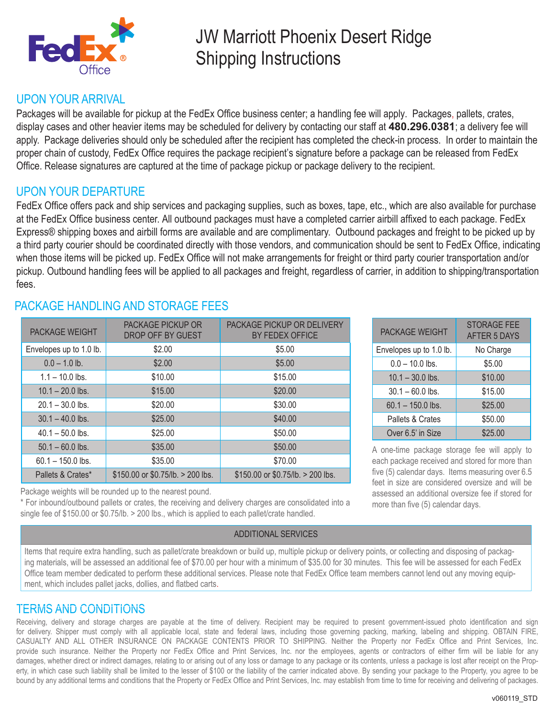

# JW Marriott Phoenix Desert Ridge Shipping Instructions

### UPON YOUR ARRIVAL

Packages will be available for pickup at the FedEx Office business center; a handling fee will apply. Packages, pallets, crates, display cases and other heavier items may be scheduled for delivery by contacting our staff at **480.296.0381**; a delivery fee will apply. Package deliveries should only be scheduled after the recipient has completed the check-in process. In order to maintain the proper chain of custody, FedEx Office requires the package recipient's signature before a package can be released from FedEx Office. Release signatures are captured at the time of package pickup or package delivery to the recipient.

## UPON YOUR DEPARTURE

FedEx Office offers pack and ship services and packaging supplies, such as boxes, tape, etc., which are also available for purchase at the FedEx Office business center. All outbound packages must have a completed carrier airbill affixed to each package. FedEx Express® shipping boxes and airbill forms are available and are complimentary. Outbound packages and freight to be picked up by a third party courier should be coordinated directly with those vendors, and communication should be sent to FedEx Office, indicating when those items will be picked up. FedEx Office will not make arrangements for freight or third party courier transportation and/or pickup. Outbound handling fees will be applied to all packages and freight, regardless of carrier, in addition to shipping/transportation fees.

| <b>PACKAGE WEIGHT</b>   | <b>PACKAGE PICKUP OR</b><br>DROP OFF BY GUEST | PACKAGE PICKUP OR DELIVERY<br>BY FEDEX OFFICE |
|-------------------------|-----------------------------------------------|-----------------------------------------------|
| Envelopes up to 1.0 lb. | \$2.00                                        | \$5.00                                        |
| $0.0 - 1.0$ lb.         | \$2.00                                        | \$5.00                                        |
| $1.1 - 10.0$ lbs.       | \$10.00                                       | \$15.00                                       |
| $10.1 - 20.0$ lbs.      | \$15.00                                       | \$20.00                                       |
| $20.1 - 30.0$ lbs.      | \$20.00                                       | \$30.00                                       |
| $30.1 - 40.0$ lbs.      | \$25.00                                       | \$40.00                                       |
| $40.1 - 50.0$ lbs.      | \$25.00                                       | \$50.00                                       |
| $50.1 - 60.0$ lbs.      | \$35.00                                       | \$50.00                                       |
| $60.1 - 150.0$ lbs.     | \$35.00                                       | \$70.00                                       |
| Pallets & Crates*       | \$150.00 or \$0.75/lb. > 200 lbs.             | $$150.00$ or $$0.75$ /lb. > 200 lbs.          |

## PACKAGE HANDLING AND STORAGE FFES

Package weights will be rounded up to the nearest pound.

\* For inbound/outbound pallets or crates, the receiving and delivery charges are consolidated into a single fee of \$150.00 or \$0.75/lb. > 200 lbs., which is applied to each pallet/crate handled.

#### ADDITIONAL SERVICES

PACKAGE WEIGHT STORAGE FEE AFTER 5 DAYS Envelopes up to 1.0 lb. No Charge  $0.0 - 10.0$  lbs.  $$5.00$  $10.1 - 30.0$  lbs.  $\qquad \qquad$  \$10.00  $30.1 - 60.0$  lbs. \$15.00  $60.1 - 150.0$  lbs.  $$25.00$ Pallets & Crates | \$50.00 Over 6.5' in Size \$25.00

A one-time package storage fee will apply to each package received and stored for more than five (5) calendar days. Items measuring over 6.5 feet in size are considered oversize and will be assessed an additional oversize fee if stored for more than five (5) calendar days.

Items that require extra handling, such as pallet/crate breakdown or build up, multiple pickup or delivery points, or collecting and disposing of packaging materials, will be assessed an additional fee of \$70.00 per hour with a minimum of \$35.00 for 30 minutes. This fee will be assessed for each FedEx Office team member dedicated to perform these additional services. Please note that FedEx Office team members cannot lend out any moving equipment, which includes pallet jacks, dollies, and flatbed carts.

## TERMS AND CONDITIONS

Receiving, delivery and storage charges are payable at the time of delivery. Recipient may be required to present government-issued photo identification and sign for delivery. Shipper must comply with all applicable local, state and federal laws, including those governing packing, marking, labeling and shipping. OBTAIN FIRE, CASUALTY AND ALL OTHER INSURANCE ON PACKAGE CONTENTS PRIOR TO SHIPPING. Neither the Property nor FedEx Office and Print Services, Inc. provide such insurance. Neither the Property nor FedEx Office and Print Services, Inc. nor the employees, agents or contractors of either firm will be liable for any damages, whether direct or indirect damages, relating to or arising out of any loss or damage to any package or its contents, unless a package is lost after receipt on the Property, in which case such liability shall be limited to the lesser of \$100 or the liability of the carrier indicated above. By sending your package to the Property, you agree to be bound by any additional terms and conditions that the Property or FedEx Office and Print Services, Inc. may establish from time to time for receiving and delivering of packages.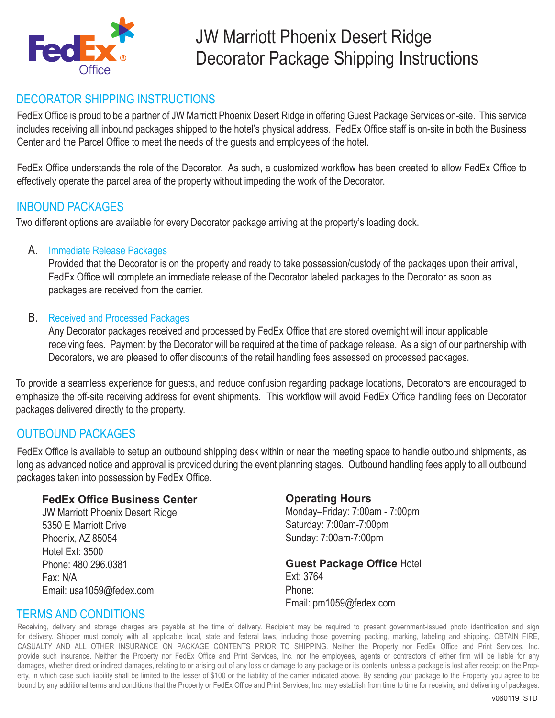

## DECORATOR SHIPPING INSTRUCTIONS

FedEx Office is proud to be a partner of JW Marriott Phoenix Desert Ridge in offering Guest Package Services on-site. This service includes receiving all inbound packages shipped to the hotel's physical address. FedEx Office staff is on-site in both the Business Center and the Parcel Office to meet the needs of the guests and employees of the hotel.

FedEx Office understands the role of the Decorator. As such, a customized workflow has been created to allow FedEx Office to effectively operate the parcel area of the property without impeding the work of the Decorator.

### INBOUND PACKAGES

Two different options are available for every Decorator package arriving at the property's loading dock.

#### A. Immediate Release Packages

Provided that the Decorator is on the property and ready to take possession/custody of the packages upon their arrival, FedEx Office will complete an immediate release of the Decorator labeled packages to the Decorator as soon as packages are received from the carrier.

#### B. Received and Processed Packages

Any Decorator packages received and processed by FedEx Office that are stored overnight will incur applicable receiving fees. Payment by the Decorator will be required at the time of package release. As a sign of our partnership with Decorators, we are pleased to offer discounts of the retail handling fees assessed on processed packages.

To provide a seamless experience for guests, and reduce confusion regarding package locations, Decorators are encouraged to emphasize the off-site receiving address for event shipments. This workflow will avoid FedEx Office handling fees on Decorator packages delivered directly to the property.

## OUTBOUND PACKAGES

FedEx Office is available to setup an outbound shipping desk within or near the meeting space to handle outbound shipments, as long as advanced notice and approval is provided during the event planning stages. Outbound handling fees apply to all outbound packages taken into possession by FedEx Office.

#### **FedEx Office Business Center**

JW Marriott Phoenix Desert Ridge 5350 E Marriott Drive Phoenix, AZ 85054 Hotel Ext: 3500 Phone: 480.296.0381 Fax: N/A Email: usa1059@fedex.com

### **Operating Hours**

Monday–Friday: 7:00am - 7:00pm Saturday: 7:00am-7:00pm Sunday: 7:00am-7:00pm

#### **Guest Package Office Hotel** Ext: 3764 Phone: Email: pm1059@fedex.com

### TERMS AND CONDITIONS

Receiving, delivery and storage charges are payable at the time of delivery. Recipient may be required to present government-issued photo identification and sign for delivery. Shipper must comply with all applicable local, state and federal laws, including those governing packing, marking, labeling and shipping. OBTAIN FIRE, CASUALTY AND ALL OTHER INSURANCE ON PACKAGE CONTENTS PRIOR TO SHIPPING. Neither the Property nor FedEx Office and Print Services, Inc. provide such insurance. Neither the Property nor FedEx Office and Print Services, Inc. nor the employees, agents or contractors of either firm will be liable for any damages, whether direct or indirect damages, relating to or arising out of any loss or damage to any package or its contents, unless a package is lost after receipt on the Property, in which case such liability shall be limited to the lesser of \$100 or the liability of the carrier indicated above. By sending your package to the Property, you agree to be bound by any additional terms and conditions that the Property or FedEx Office and Print Services, Inc. may establish from time to time for receiving and delivering of packages.